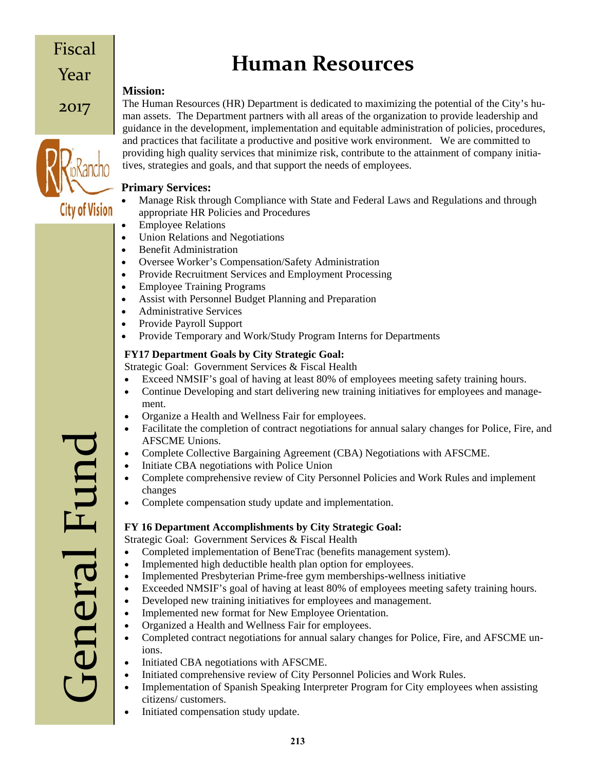# **Human Resources**

# **Mission:**

Fiscal

Year

2017

**City of Vision** 

The Human Resources (HR) Department is dedicated to maximizing the potential of the City's human assets. The Department partners with all areas of the organization to provide leadership and guidance in the development, implementation and equitable administration of policies, procedures, and practices that facilitate a productive and positive work environment. We are committed to providing high quality services that minimize risk, contribute to the attainment of company initiatives, strategies and goals, and that support the needs of employees.

#### **Primary Services:**

- Manage Risk through Compliance with State and Federal Laws and Regulations and through appropriate HR Policies and Procedures
- Employee Relations
- Union Relations and Negotiations
- Benefit Administration
- Oversee Worker's Compensation/Safety Administration
- Provide Recruitment Services and Employment Processing
- Employee Training Programs
- Assist with Personnel Budget Planning and Preparation
- Administrative Services
- Provide Payroll Support
- Provide Temporary and Work/Study Program Interns for Departments

### **FY17 Department Goals by City Strategic Goal:**

Strategic Goal: Government Services & Fiscal Health

- Exceed NMSIF's goal of having at least 80% of employees meeting safety training hours.
- Continue Developing and start delivering new training initiatives for employees and management.
- Organize a Health and Wellness Fair for employees.
- Facilitate the completion of contract negotiations for annual salary changes for Police, Fire, and AFSCME Unions.
- Complete Collective Bargaining Agreement (CBA) Negotiations with AFSCME.
- Initiate CBA negotiations with Police Union
- Complete comprehensive review of City Personnel Policies and Work Rules and implement changes
- Complete compensation study update and implementation.

# **FY 16 Department Accomplishments by City Strategic Goal:**

Strategic Goal: Government Services & Fiscal Health

- Completed implementation of BeneTrac (benefits management system).
- Implemented high deductible health plan option for employees.
- Implemented Presbyterian Prime-free gym memberships-wellness initiative
- Exceeded NMSIF's goal of having at least 80% of employees meeting safety training hours.
- Developed new training initiatives for employees and management.
- Implemented new format for New Employee Orientation.
- Organized a Health and Wellness Fair for employees.
- Completed contract negotiations for annual salary changes for Police, Fire, and AFSCME unions.
- Initiated CBA negotiations with AFSCME.
- Initiated comprehensive review of City Personnel Policies and Work Rules.
- Implementation of Spanish Speaking Interpreter Program for City employees when assisting citizens/ customers.
- Initiated compensation study update.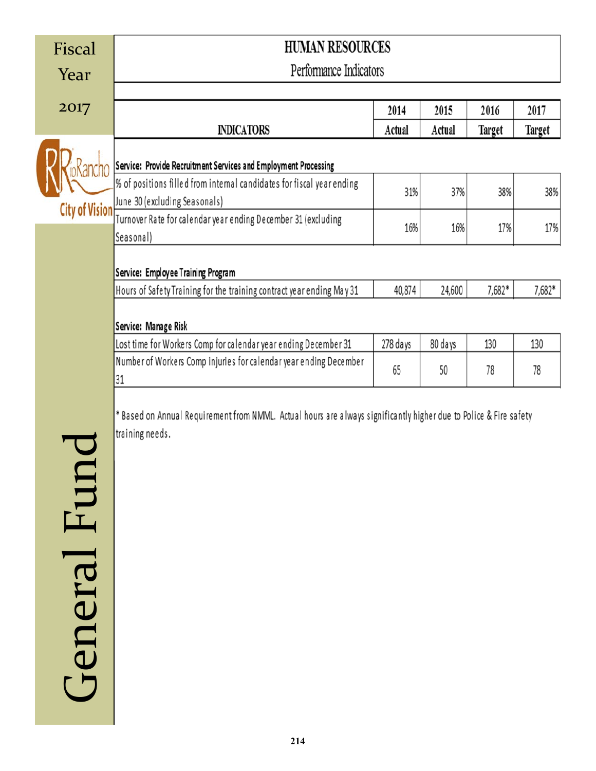| Fiscal  | <b>HUMAN RESOURCES</b>                                                                                            |          |         |        |        |  |  |  |  |  |
|---------|-------------------------------------------------------------------------------------------------------------------|----------|---------|--------|--------|--|--|--|--|--|
| Year    | Performance Indicators                                                                                            |          |         |        |        |  |  |  |  |  |
|         |                                                                                                                   |          |         |        |        |  |  |  |  |  |
| 2017    |                                                                                                                   | 2014     | 2015    | 2016   | 2017   |  |  |  |  |  |
|         | <b>INDICATORS</b>                                                                                                 | Actual   | Actual  | Target | Target |  |  |  |  |  |
|         |                                                                                                                   |          |         |        |        |  |  |  |  |  |
|         | Service: Provide Recruitment Services and Employment Processing                                                   |          |         |        |        |  |  |  |  |  |
|         | % of positions filled from intemal candidates for fiscal year ending                                              | 31%      | 37%     | 38%    | 38%    |  |  |  |  |  |
|         | City of Vision June 30 (excluding Seasonals)<br>Turnover Rate for calendar year ending December 31 (excluding     |          |         |        |        |  |  |  |  |  |
|         | Seasonal)                                                                                                         | 16%      | 16%     | 17%    | 17%    |  |  |  |  |  |
|         |                                                                                                                   |          |         |        |        |  |  |  |  |  |
|         | Service: Employee Training Program                                                                                |          |         |        |        |  |  |  |  |  |
|         | Hours of Safety Training for the training contract year ending May 31                                             | 40,874   | 24,600  | 7,682* | 7,682* |  |  |  |  |  |
|         |                                                                                                                   |          |         |        |        |  |  |  |  |  |
|         | Service: Manage Risk                                                                                              |          |         |        |        |  |  |  |  |  |
|         | Lost time for Workers Comp for calendar year ending December 31                                                   | 278 days | 80 days | 130    | 130    |  |  |  |  |  |
|         | Number of Workers Comp injuries for calendar year ending December<br>31                                           | 65       | 50      | 78     | 78     |  |  |  |  |  |
|         |                                                                                                                   |          |         |        |        |  |  |  |  |  |
|         | * Based on Annual Requirement from NMML. Actual hours are always significantly higher due to Police & Fire safety |          |         |        |        |  |  |  |  |  |
|         | training needs.                                                                                                   |          |         |        |        |  |  |  |  |  |
|         |                                                                                                                   |          |         |        |        |  |  |  |  |  |
|         |                                                                                                                   |          |         |        |        |  |  |  |  |  |
| 田       |                                                                                                                   |          |         |        |        |  |  |  |  |  |
|         |                                                                                                                   |          |         |        |        |  |  |  |  |  |
|         |                                                                                                                   |          |         |        |        |  |  |  |  |  |
|         |                                                                                                                   |          |         |        |        |  |  |  |  |  |
|         |                                                                                                                   |          |         |        |        |  |  |  |  |  |
|         |                                                                                                                   |          |         |        |        |  |  |  |  |  |
|         |                                                                                                                   |          |         |        |        |  |  |  |  |  |
|         |                                                                                                                   |          |         |        |        |  |  |  |  |  |
|         |                                                                                                                   |          |         |        |        |  |  |  |  |  |
|         |                                                                                                                   |          |         |        |        |  |  |  |  |  |
| General |                                                                                                                   |          |         |        |        |  |  |  |  |  |
|         |                                                                                                                   |          |         |        |        |  |  |  |  |  |
|         |                                                                                                                   |          |         |        |        |  |  |  |  |  |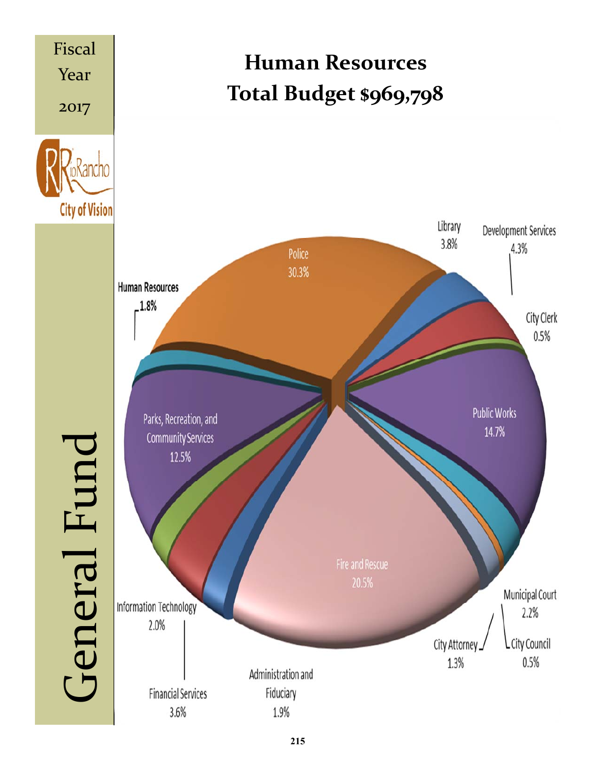